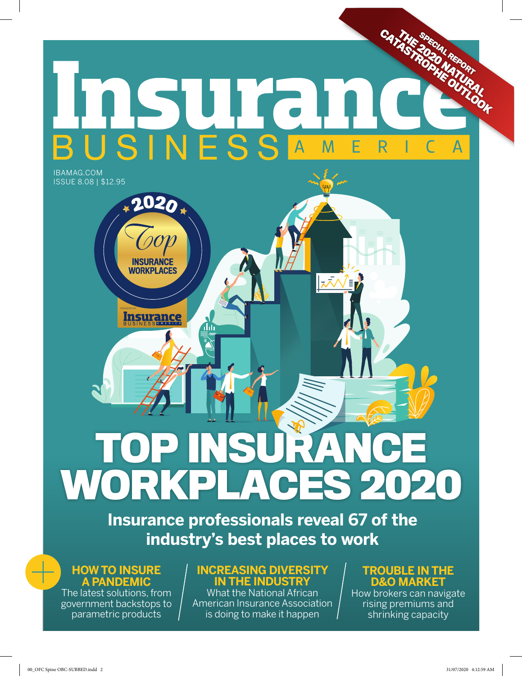### **CATAGE SPECIAL REPORT** RSUITE M E R Α IBAMAG.COM

ISSUE 8.08 | \$12.95

# **TOP INSURANCE WORKPLACES 2020**

**Insurance professionals reveal 67 of the industry's best places to work**

#### **HOW TO INSURE A PANDEMIC**

Insurance

1H

**INSURANCE WORKPLACES** 

**2020**

The latest solutions, from government backstops to parametric products

#### **INCREASING DIVERSITY IN THE INDUSTRY**

What the National African American Insurance Association is doing to make it happen

#### **TROUBLE IN THE D&O MARKET**

How brokers can navigate rising premiums and shrinking capacity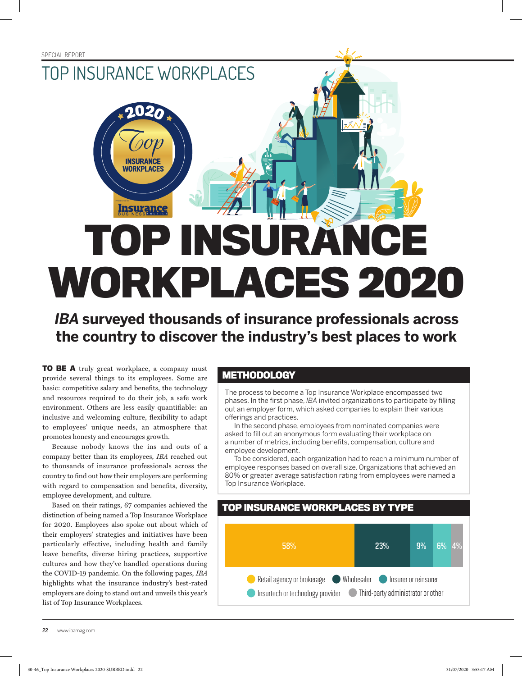### TOP INSURANCE WORKPLACES

**2020**

**INSURANCE WORKPLACES** 

## **TOP INSURANCE WORKPLACES 2020** AMERIC A PRESENTED BY

**IBA surveyed thousands of insurance professionals across the country to discover the industry's best places to work**

**TO BE A** truly great workplace, a company must provide several things to its employees. Some are basic: competitive salary and benefits, the technology and resources required to do their job, a safe work environment. Others are less easily quantifiable: an inclusive and welcoming culture, flexibility to adapt to employees' unique needs, an atmosphere that promotes honesty and encourages growth.

Because nobody knows the ins and outs of a company better than its employees, *IBA* reached out to thousands of insurance professionals across the country to find out how their employers are performing with regard to compensation and benefits, diversity, employee development, and culture.

Based on their ratings, 67 companies achieved the distinction of being named a Top Insurance Workplace for 2020. Employees also spoke out about which of their employers' strategies and initiatives have been particularly effective, including health and family leave benefits, diverse hiring practices, supportive cultures and how they've handled operations during the COVID-19 pandemic. On the following pages, *IBA* highlights what the insurance industry's best-rated employers are doing to stand out and unveils this year's list of Top Insurance Workplaces.

#### **METHODOLOGY**

The process to become a Top Insurance Workplace encompassed two phases. In the first phase, *IBA* invited organizations to participate by filling out an employer form, which asked companies to explain their various offerings and practices.

In the second phase, employees from nominated companies were asked to fill out an anonymous form evaluating their workplace on a number of metrics, including benefits, compensation, culture and employee development.

To be considered, each organization had to reach a minimum number of employee responses based on overall size. Organizations that achieved an 80% or greater average satisfaction rating from employees were named a Top Insurance Workplace.

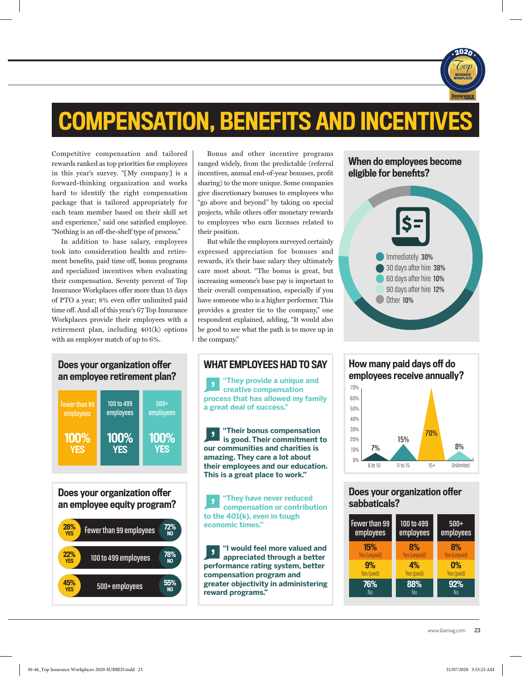

### COMPENSATION, BENEFITS AND INCENTIVES

Competitive compensation and tailored rewards ranked as top priorities for employees in this year's survey. "[My company] is a forward-thinking organization and works hard to identify the right compensation package that is tailored appropriately for each team member based on their skill set and experience," said one satisfied employee. "Nothing is an off-the-shelf type of process."

In addition to base salary, employees took into consideration health and retirement benefits, paid time off, bonus programs and specialized incentives when evaluating their compensation. Seventy percent of Top Insurance Workplaces offer more than 15 days of PTO a year; 8% even offer unlimited paid time off. And all of this year's 67 Top Insurance Workplaces provide their employees with a retirement plan, including 401(k) options with an employer match of up to 6%.

### an employee retirement plan?



Does your organization offer an employee equity program?



Bonus and other incentive programs ranged widely, from the predictable (referral incentives, annual end-of-year bonuses, profit sharing) to the more unique. Some companies give discretionary bonuses to employees who "go above and beyond" by taking on special projects, while others offer monetary rewards to employees who earn licenses related to their position.

But while the employees surveyed certainly expressed appreciation for bonuses and rewards, it's their base salary they ultimately care most about. "The bonus is great, but increasing someone's base pay is important to their overall compensation, especially if you have someone who is a higher performer. This provides a greater tie to the company," one respondent explained, adding, "It would also be good to see what the path is to move up in the company."



**"They provide a unique and creative compensation process that has allowed my family a great deal of success."**

**"Their bonus compensation**   $\overline{\phantom{a}}$ **is good. Their commitment to our communities and charities is amazing. They care a lot about their employees and our education. This is a great place to work."**

**"They have never reduced compensation or contribution to the 401(k), even in tough economic times."**

**"I would feel more valued and**   $\overline{\mathbf{y}}$ **appreciated through a better performance rating system, better compensation program and greater objectivity in administering reward programs."**



How many paid days off do employees receive annually?  $\bigcap Q$ 10% 20% 30% 40% 50% 60% 70% 6 to 10 11 to 15 15+ Unlimited 8% 15% 7% 70%

#### Does your organization offer sabbaticals?

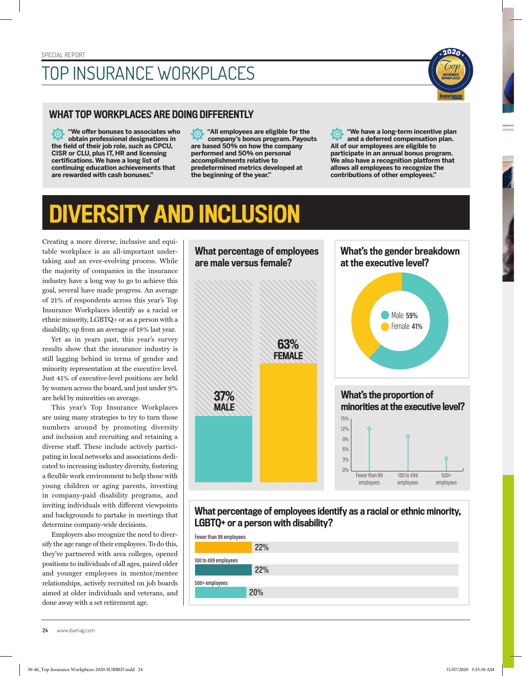### TOP INSURANCE WORKPLACES

#### WHAT TOP WORKPLACES ARE DOING DIFFERENTLY

**"We offer bonuses to associates who**  PO. **obtain professional designations in the field of their job role, such as CPCU, CISR or CLU, plus IT, HR and licensing certifications. We have a long list of continuing education achievements that are rewarded with cash bonuses."**

**"All employees are eligible for the**  Ō **company's bonus program. Payouts are based 50% on how the company performed and 50% on personal accomplishments relative to predetermined metrics developed at the beginning of the year."**

**"We have a long-term incentive plan**  <u> (ဝ</u> **and a deferred compensation plan. All of our employees are eligible to participate in an annual bonus program. We also have a recognition platform that allows all employees to recognize the contributions of other employees."**

**2020**

### DIVERSITY AND INCLUSION

Creating a more diverse, inclusive and equitable workplace is an all-important undertaking and an ever-evolving process. While the majority of companies in the insurance industry have a long way to go to achieve this goal, several have made progress. An average of 21% of respondents across this year's Top Insurance Workplaces identify as a racial or ethnic minority, LGBTQ+ or as a person with a disability, up from an average of 18% last year.

Yet as in years past, this year's survey results show that the insurance industry is still lagging behind in terms of gender and minority representation at the executive level. Just 41% of executive-level positions are held by women across the board, and just under 9% are held by minorities on average.

This year's Top Insurance Workplaces are using many strategies to try to turn those numbers around by promoting diversity and inclusion and recruiting and retaining a diverse staff. These include actively participating in local networks and associations dedicated to increasing industry diversity, fostering a flexible work environment to help those with young children or aging parents, investing in company-paid disability programs, and inviting individuals with different viewpoints and backgrounds to partake in meetings that determine company-wide decisions.

Employers also recognize the need to diversify the age range of their employees. To do this, they've partnered with area colleges, opened positions to individuals of all ages, paired older and younger employees in mentor/mentee relationships, actively recruited on job boards aimed at older individuals and veterans, and done away with a set retirement age.



#### What percentage of employees identify as a racial or ethnic minority, LGBTQ+ or a person with disability?

| Fewer than 99 employees |     |
|-------------------------|-----|
|                         | 22% |
| 100 to 499 employees    |     |
|                         | 22% |
| 500+ employees          |     |
|                         | 20% |
|                         |     |